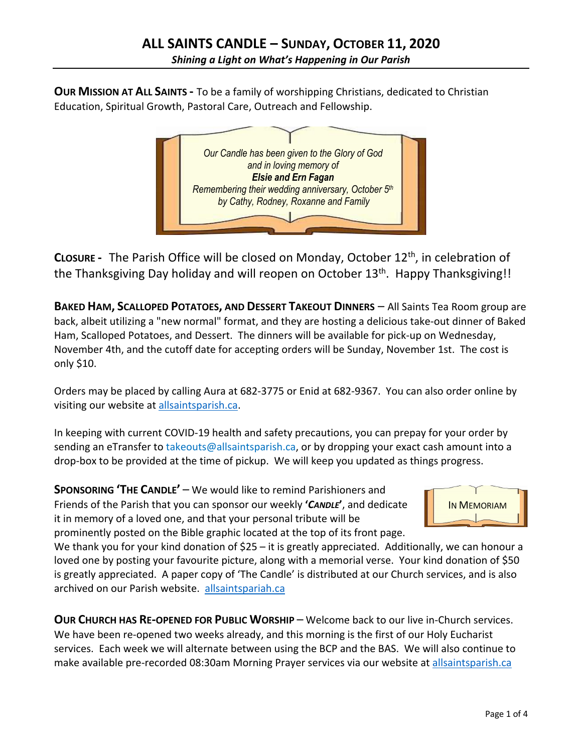**OUR MISSION AT ALL SAINTS -** To be a family of worshipping Christians, dedicated to Christian Education, Spiritual Growth, Pastoral Care, Outreach and Fellowship.



**CLOSURE -** The Parish Office will be closed on Monday, October 12th, in celebration of the Thanksgiving Day holiday and will reopen on October 13<sup>th</sup>. Happy Thanksgiving!!

**BAKED HAM, SCALLOPED POTATOES, AND DESSERT TAKEOUT DINNERS** – All Saints Tea Room group are back, albeit utilizing a "new normal" format, and they are hosting a delicious take-out dinner of Baked Ham, Scalloped Potatoes, and Dessert. The dinners will be available for pick-up on Wednesday, November 4th, and the cutoff date for accepting orders will be Sunday, November 1st. The cost is only \$10.

Orders may be placed by calling Aura at 682-3775 or Enid at 682-9367. You can also order online by visiting our website at allsaintsparish.ca.

In keeping with current COVID-19 health and safety precautions, you can prepay for your order by sending an eTransfer to takeouts@allsaintsparish.ca, or by dropping your exact cash amount into a drop-box to be provided at the time of pickup. We will keep you updated as things progress.

**SPONSORING 'THE CANDLE'** – We would like to remind Parishioners and Friends of the Parish that you can sponsor our weekly **'***CANDLE***'**, and dedicate it in memory of a loved one, and that your personal tribute will be prominently posted on the Bible graphic located at the top of its front page.



We thank you for your kind donation of \$25 – it is greatly appreciated. Additionally, we can honour a loved one by posting your favourite picture, along with a memorial verse. Your kind donation of \$50 is greatly appreciated. A paper copy of 'The Candle' is distributed at our Church services, and is also archived on our Parish website. allsaintspariah.ca

**OUR CHURCH HAS RE-OPENED FOR PUBLIC WORSHIP** – Welcome back to our live in-Church services. We have been re-opened two weeks already, and this morning is the first of our Holy Eucharist services. Each week we will alternate between using the BCP and the BAS. We will also continue to make available pre-recorded 08:30am Morning Prayer services via our website at allsaintsparish.ca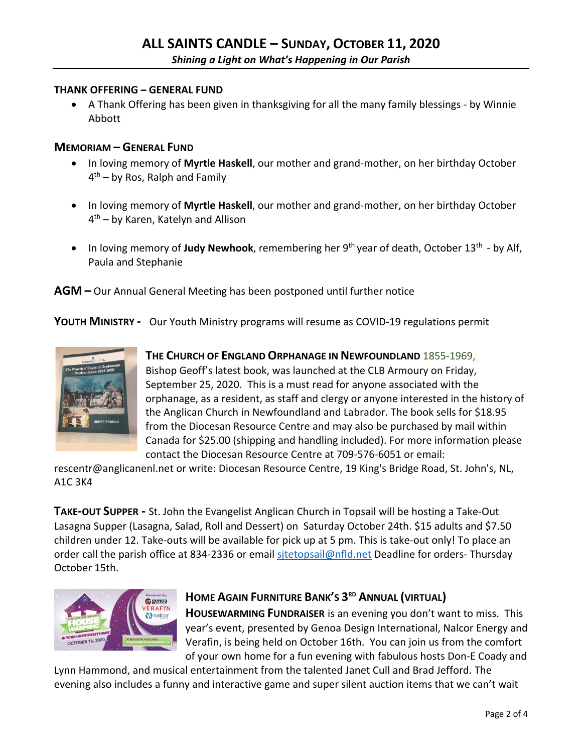#### **THANK OFFERING – GENERAL FUND**

• A Thank Offering has been given in thanksgiving for all the many family blessings - by Winnie Abbott

#### **MEMORIAM – GENERAL FUND**

- In loving memory of **Myrtle Haskell**, our mother and grand-mother, on her birthday October  $4<sup>th</sup>$  – by Ros, Ralph and Family
- In loving memory of **Myrtle Haskell**, our mother and grand-mother, on her birthday October 4th – by Karen, Katelyn and Allison
- In loving memory of **Judy Newhook**, remembering her 9<sup>th</sup> year of death, October 13<sup>th</sup> by Alf, Paula and Stephanie

**AGM –** Our Annual General Meeting has been postponed until further notice

**YOUTH MINISTRY -** Our Youth Ministry programs will resume as COVID-19 regulations permit



### **THE CHURCH OF ENGLAND ORPHANAGE IN NEWFOUNDLAND** 1855-1969,

Bishop Geoff's latest book, was launched at the CLB Armoury on Friday, September 25, 2020. This is a must read for anyone associated with the orphanage, as a resident, as staff and clergy or anyone interested in the history of the Anglican Church in Newfoundland and Labrador. The book sells for \$18.95 from the Diocesan Resource Centre and may also be purchased by mail within Canada for \$25.00 (shipping and handling included). For more information please contact the Diocesan Resource Centre at 709-576-6051 or email:

rescentr@anglicanenl.net or write: Diocesan Resource Centre, 19 King's Bridge Road, St. John's, NL, A1C 3K4

**TAKE-OUT SUPPER -** St. John the Evangelist Anglican Church in Topsail will be hosting a Take-Out Lasagna Supper (Lasagna, Salad, Roll and Dessert) on Saturday October 24th. \$15 adults and \$7.50 children under 12. Take-outs will be available for pick up at 5 pm. This is take-out only! To place an order call the parish office at 834-2336 or email sitetopsail@nfld.net Deadline for orders- Thursday October 15th.



### **HOME AGAIN FURNITURE BANK'S 3RD ANNUAL (VIRTUAL)**

**HOUSEWARMING FUNDRAISER** is an evening you don't want to miss. This year's event, presented by Genoa Design International, Nalcor Energy and Verafin, is being held on October 16th. You can join us from the comfort of your own home for a fun evening with fabulous hosts Don-E Coady and

Lynn Hammond, and musical entertainment from the talented Janet Cull and Brad Jefford. The evening also includes a funny and interactive game and super silent auction items that we can't wait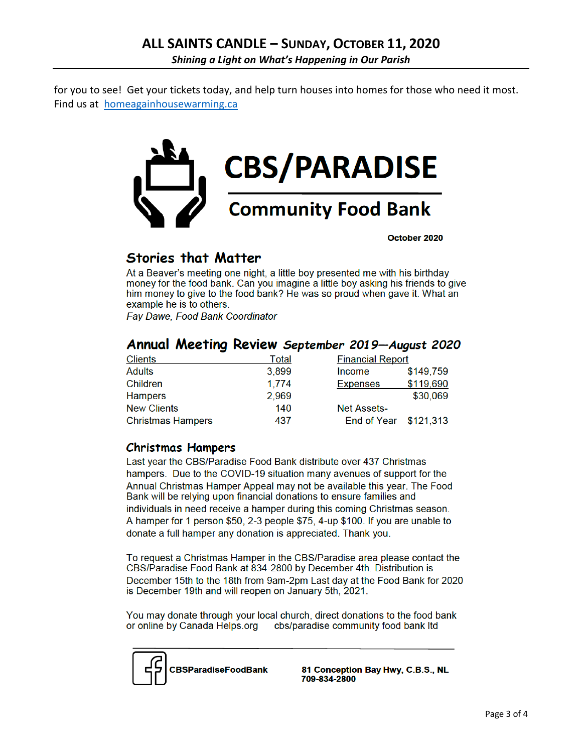for you to see! Get your tickets today, and help turn houses into homes for those who need it most. Find us at homeagainhousewarming.ca



October 2020

## **Stories that Matter**

At a Beaver's meeting one night, a little boy presented me with his birthday money for the food bank. Can you imagine a little boy asking his friends to give him money to give to the food bank? He was so proud when gave it. What an example he is to others.

**Fay Dawe, Food Bank Coordinator** 

### Annual Meeting Review September 2019-August 2020

| <b>Clients</b>           | Total | <b>Financial Report</b> |           |
|--------------------------|-------|-------------------------|-----------|
| <b>Adults</b>            | 3,899 | <b>Income</b>           | \$149,759 |
| Children                 | 1.774 | <b>Expenses</b>         | \$119,690 |
| <b>Hampers</b>           | 2,969 |                         | \$30,069  |
| <b>New Clients</b>       | 140   | <b>Net Assets-</b>      |           |
| <b>Christmas Hampers</b> | 437   | End of Year \$121,313   |           |

### **Christmas Hampers**

Last year the CBS/Paradise Food Bank distribute over 437 Christmas hampers. Due to the COVID-19 situation many avenues of support for the Annual Christmas Hamper Appeal may not be available this year. The Food Bank will be relying upon financial donations to ensure families and individuals in need receive a hamper during this coming Christmas season. A hamper for 1 person \$50, 2-3 people \$75, 4-up \$100. If you are unable to donate a full hamper any donation is appreciated. Thank you.

To request a Christmas Hamper in the CBS/Paradise area please contact the CBS/Paradise Food Bank at 834-2800 by December 4th. Distribution is December 15th to the 18th from 9am-2pm Last day at the Food Bank for 2020 is December 19th and will reopen on January 5th, 2021.

You may donate through your local church, direct donations to the food bank or online by Canada Helps.org cbs/paradise community food bank ltd



81 Conception Bay Hwy, C.B.S., NL 709-834-2800